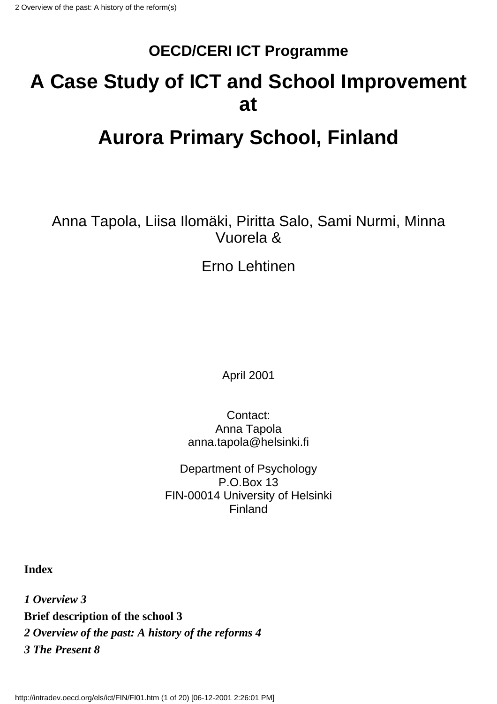### **OECD/CERI ICT Programme**

### **A Case Study of ICT and School Improvement at**

## **Aurora Primary School, Finland**

Anna Tapola, Liisa Ilomäki, Piritta Salo, Sami Nurmi, Minna Vuorela &

Erno Lehtinen

April 2001

Contact: Anna Tapola anna.tapola@helsinki.fi

Department of Psychology P.O.Box 13 FIN-00014 University of Helsinki Finland

**Index**

*1 Overview 3* **Brief description of the school 3** *2 Overview of the past: A history of the reforms 4 3 The Present 8*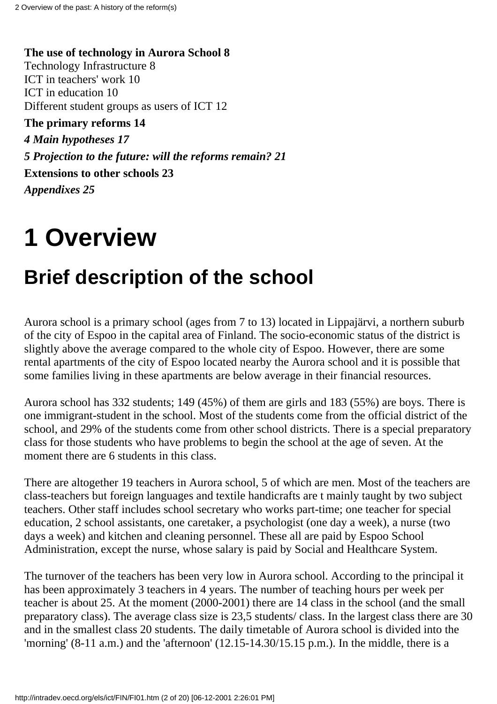**The use of technology in Aurora School 8** Technology Infrastructure 8 ICT in teachers' work 10 ICT in education 10 Different student groups as users of ICT 12 **The primary reforms 14** *4 Main hypotheses 17 5 Projection to the future: will the reforms remain? 21* **Extensions to other schools 23**

*Appendixes 25*

# **1 Overview**

## **Brief description of the school**

Aurora school is a primary school (ages from 7 to 13) located in Lippajärvi, a northern suburb of the city of Espoo in the capital area of Finland. The socio-economic status of the district is slightly above the average compared to the whole city of Espoo. However, there are some rental apartments of the city of Espoo located nearby the Aurora school and it is possible that some families living in these apartments are below average in their financial resources.

Aurora school has 332 students; 149 (45%) of them are girls and 183 (55%) are boys. There is one immigrant-student in the school. Most of the students come from the official district of the school, and 29% of the students come from other school districts. There is a special preparatory class for those students who have problems to begin the school at the age of seven. At the moment there are 6 students in this class.

There are altogether 19 teachers in Aurora school, 5 of which are men. Most of the teachers are class-teachers but foreign languages and textile handicrafts are t mainly taught by two subject teachers. Other staff includes school secretary who works part-time; one teacher for special education, 2 school assistants, one caretaker, a psychologist (one day a week), a nurse (two days a week) and kitchen and cleaning personnel. These all are paid by Espoo School Administration, except the nurse, whose salary is paid by Social and Healthcare System.

The turnover of the teachers has been very low in Aurora school. According to the principal it has been approximately 3 teachers in 4 years. The number of teaching hours per week per teacher is about 25. At the moment (2000-2001) there are 14 class in the school (and the small preparatory class). The average class size is 23,5 students/ class. In the largest class there are 30 and in the smallest class 20 students. The daily timetable of Aurora school is divided into the 'morning'  $(8-11$  a.m.) and the 'afternoon'  $(12.15-14.30/15.15$  p.m.). In the middle, there is a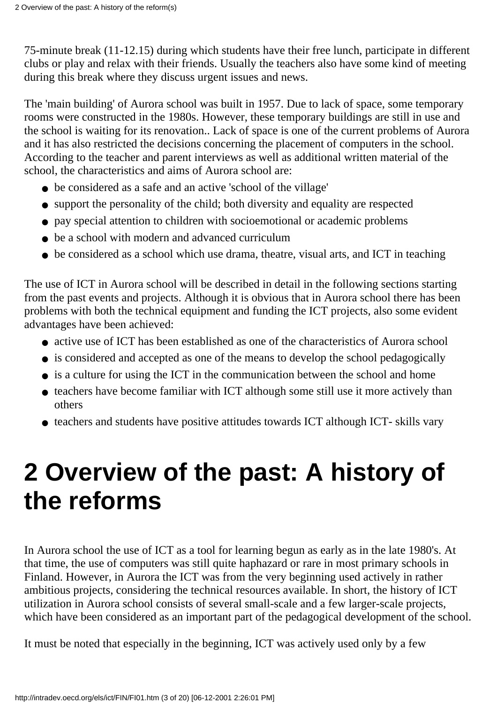75-minute break (11-12.15) during which students have their free lunch, participate in different clubs or play and relax with their friends. Usually the teachers also have some kind of meeting during this break where they discuss urgent issues and news.

The 'main building' of Aurora school was built in 1957. Due to lack of space, some temporary rooms were constructed in the 1980s. However, these temporary buildings are still in use and the school is waiting for its renovation.. Lack of space is one of the current problems of Aurora and it has also restricted the decisions concerning the placement of computers in the school. According to the teacher and parent interviews as well as additional written material of the school, the characteristics and aims of Aurora school are:

- be considered as a safe and an active 'school of the village'
- support the personality of the child; both diversity and equality are respected
- pay special attention to children with socioemotional or academic problems
- be a school with modern and advanced curriculum
- be considered as a school which use drama, theatre, visual arts, and ICT in teaching

The use of ICT in Aurora school will be described in detail in the following sections starting from the past events and projects. Although it is obvious that in Aurora school there has been problems with both the technical equipment and funding the ICT projects, also some evident advantages have been achieved:

- active use of ICT has been established as one of the characteristics of Aurora school
- is considered and accepted as one of the means to develop the school pedagogically
- is a culture for using the ICT in the communication between the school and home
- teachers have become familiar with ICT although some still use it more actively than others
- teachers and students have positive attitudes towards ICT although ICT- skills vary

# **2 Overview of the past: A history of the reforms**

In Aurora school the use of ICT as a tool for learning begun as early as in the late 1980's. At that time, the use of computers was still quite haphazard or rare in most primary schools in Finland. However, in Aurora the ICT was from the very beginning used actively in rather ambitious projects, considering the technical resources available. In short, the history of ICT utilization in Aurora school consists of several small-scale and a few larger-scale projects, which have been considered as an important part of the pedagogical development of the school.

It must be noted that especially in the beginning, ICT was actively used only by a few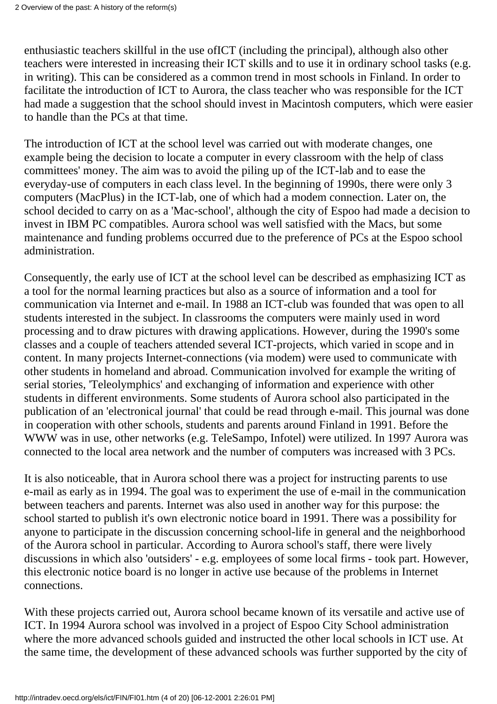enthusiastic teachers skillful in the use ofICT (including the principal), although also other teachers were interested in increasing their ICT skills and to use it in ordinary school tasks (e.g. in writing). This can be considered as a common trend in most schools in Finland. In order to facilitate the introduction of ICT to Aurora, the class teacher who was responsible for the ICT had made a suggestion that the school should invest in Macintosh computers, which were easier to handle than the PCs at that time.

The introduction of ICT at the school level was carried out with moderate changes, one example being the decision to locate a computer in every classroom with the help of class committees' money. The aim was to avoid the piling up of the ICT-lab and to ease the everyday-use of computers in each class level. In the beginning of 1990s, there were only 3 computers (MacPlus) in the ICT-lab, one of which had a modem connection. Later on, the school decided to carry on as a 'Mac-school', although the city of Espoo had made a decision to invest in IBM PC compatibles. Aurora school was well satisfied with the Macs, but some maintenance and funding problems occurred due to the preference of PCs at the Espoo school administration.

Consequently, the early use of ICT at the school level can be described as emphasizing ICT as a tool for the normal learning practices but also as a source of information and a tool for communication via Internet and e-mail. In 1988 an ICT-club was founded that was open to all students interested in the subject. In classrooms the computers were mainly used in word processing and to draw pictures with drawing applications. However, during the 1990's some classes and a couple of teachers attended several ICT-projects, which varied in scope and in content. In many projects Internet-connections (via modem) were used to communicate with other students in homeland and abroad. Communication involved for example the writing of serial stories, 'Teleolymphics' and exchanging of information and experience with other students in different environments. Some students of Aurora school also participated in the publication of an 'electronical journal' that could be read through e-mail. This journal was done in cooperation with other schools, students and parents around Finland in 1991. Before the WWW was in use, other networks (e.g. TeleSampo, Infotel) were utilized. In 1997 Aurora was connected to the local area network and the number of computers was increased with 3 PCs.

It is also noticeable, that in Aurora school there was a project for instructing parents to use e-mail as early as in 1994. The goal was to experiment the use of e-mail in the communication between teachers and parents. Internet was also used in another way for this purpose: the school started to publish it's own electronic notice board in 1991. There was a possibility for anyone to participate in the discussion concerning school-life in general and the neighborhood of the Aurora school in particular. According to Aurora school's staff, there were lively discussions in which also 'outsiders' - e.g. employees of some local firms - took part. However, this electronic notice board is no longer in active use because of the problems in Internet connections.

With these projects carried out, Aurora school became known of its versatile and active use of ICT. In 1994 Aurora school was involved in a project of Espoo City School administration where the more advanced schools guided and instructed the other local schools in ICT use. At the same time, the development of these advanced schools was further supported by the city of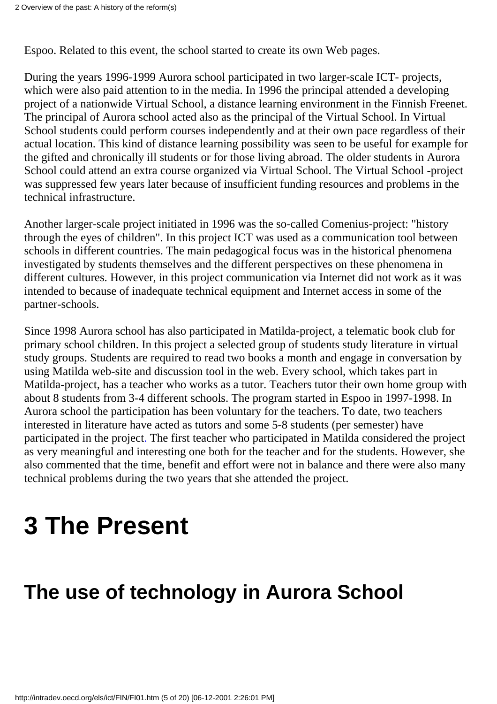Espoo. Related to this event, the school started to create its own Web pages.

During the years 1996-1999 Aurora school participated in two larger-scale ICT- projects, which were also paid attention to in the media. In 1996 the principal attended a developing project of a nationwide Virtual School, a distance learning environment in the Finnish Freenet. The principal of Aurora school acted also as the principal of the Virtual School. In Virtual School students could perform courses independently and at their own pace regardless of their actual location. This kind of distance learning possibility was seen to be useful for example for the gifted and chronically ill students or for those living abroad. The older students in Aurora School could attend an extra course organized via Virtual School. The Virtual School -project was suppressed few years later because of insufficient funding resources and problems in the technical infrastructure.

Another larger-scale project initiated in 1996 was the so-called Comenius-project: "history through the eyes of children". In this project ICT was used as a communication tool between schools in different countries. The main pedagogical focus was in the historical phenomena investigated by students themselves and the different perspectives on these phenomena in different cultures. However, in this project communication via Internet did not work as it was intended to because of inadequate technical equipment and Internet access in some of the partner-schools.

Since 1998 Aurora school has also participated in Matilda-project, a telematic book club for primary school children. In this project a selected group of students study literature in virtual study groups. Students are required to read two books a month and engage in conversation by using Matilda web-site and discussion tool in the web. Every school, which takes part in Matilda-project, has a teacher who works as a tutor. Teachers tutor their own home group with about 8 students from 3-4 different schools. The program started in Espoo in 1997-1998. In Aurora school the participation has been voluntary for the teachers. To date, two teachers interested in literature have acted as tutors and some 5-8 students (per semester) have participated in the project. The first teacher who participated in Matilda considered the project as very meaningful and interesting one both for the teacher and for the students. However, she also commented that the time, benefit and effort were not in balance and there were also many technical problems during the two years that she attended the project.

# **3 The Present**

## **The use of technology in Aurora School**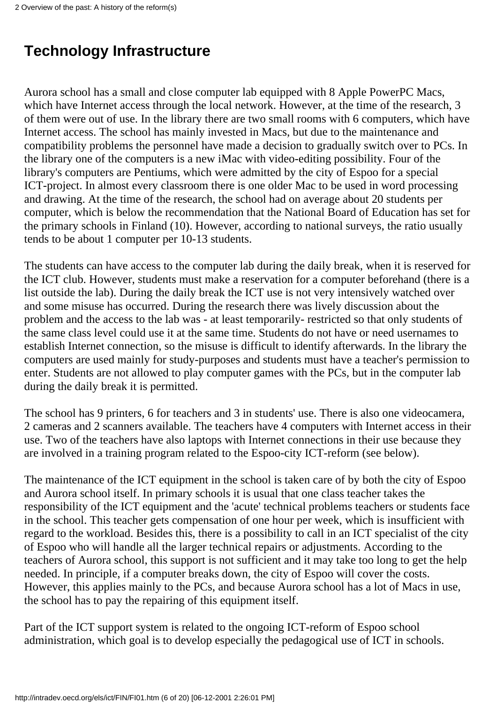### **Technology Infrastructure**

Aurora school has a small and close computer lab equipped with 8 Apple PowerPC Macs, which have Internet access through the local network. However, at the time of the research, 3 of them were out of use. In the library there are two small rooms with 6 computers, which have Internet access. The school has mainly invested in Macs, but due to the maintenance and compatibility problems the personnel have made a decision to gradually switch over to PCs. In the library one of the computers is a new iMac with video-editing possibility. Four of the library's computers are Pentiums, which were admitted by the city of Espoo for a special ICT-project. In almost every classroom there is one older Mac to be used in word processing and drawing. At the time of the research, the school had on average about 20 students per computer, which is below the recommendation that the National Board of Education has set for the primary schools in Finland (10). However, according to national surveys, the ratio usually tends to be about 1 computer per 10-13 students.

The students can have access to the computer lab during the daily break, when it is reserved for the ICT club. However, students must make a reservation for a computer beforehand (there is a list outside the lab). During the daily break the ICT use is not very intensively watched over and some misuse has occurred. During the research there was lively discussion about the problem and the access to the lab was - at least temporarily- restricted so that only students of the same class level could use it at the same time. Students do not have or need usernames to establish Internet connection, so the misuse is difficult to identify afterwards. In the library the computers are used mainly for study-purposes and students must have a teacher's permission to enter. Students are not allowed to play computer games with the PCs, but in the computer lab during the daily break it is permitted.

The school has 9 printers, 6 for teachers and 3 in students' use. There is also one videocamera, 2 cameras and 2 scanners available. The teachers have 4 computers with Internet access in their use. Two of the teachers have also laptops with Internet connections in their use because they are involved in a training program related to the Espoo-city ICT-reform (see below).

The maintenance of the ICT equipment in the school is taken care of by both the city of Espoo and Aurora school itself. In primary schools it is usual that one class teacher takes the responsibility of the ICT equipment and the 'acute' technical problems teachers or students face in the school. This teacher gets compensation of one hour per week, which is insufficient with regard to the workload. Besides this, there is a possibility to call in an ICT specialist of the city of Espoo who will handle all the larger technical repairs or adjustments. According to the teachers of Aurora school, this support is not sufficient and it may take too long to get the help needed. In principle, if a computer breaks down, the city of Espoo will cover the costs. However, this applies mainly to the PCs, and because Aurora school has a lot of Macs in use, the school has to pay the repairing of this equipment itself.

Part of the ICT support system is related to the ongoing ICT-reform of Espoo school administration, which goal is to develop especially the pedagogical use of ICT in schools.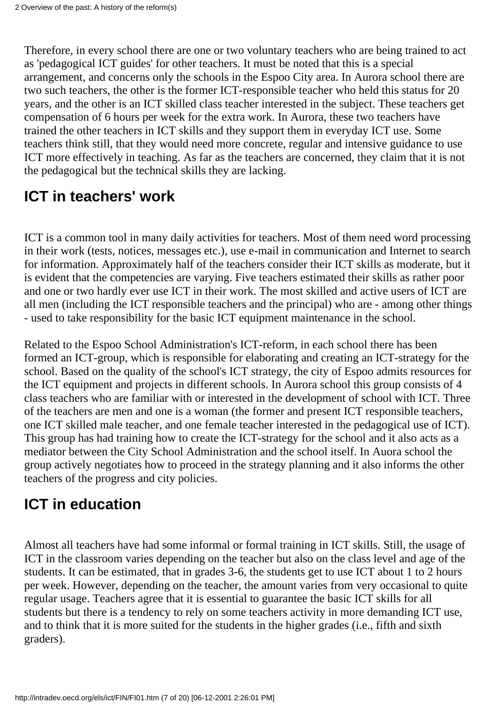Therefore, in every school there are one or two voluntary teachers who are being trained to act as 'pedagogical ICT guides' for other teachers. It must be noted that this is a special arrangement, and concerns only the schools in the Espoo City area. In Aurora school there are two such teachers, the other is the former ICT-responsible teacher who held this status for 20 years, and the other is an ICT skilled class teacher interested in the subject. These teachers get compensation of 6 hours per week for the extra work. In Aurora, these two teachers have trained the other teachers in ICT skills and they support them in everyday ICT use. Some teachers think still, that they would need more concrete, regular and intensive guidance to use ICT more effectively in teaching. As far as the teachers are concerned, they claim that it is not the pedagogical but the technical skills they are lacking.

### **ICT in teachers' work**

ICT is a common tool in many daily activities for teachers. Most of them need word processing in their work (tests, notices, messages etc.), use e-mail in communication and Internet to search for information. Approximately half of the teachers consider their ICT skills as moderate, but it is evident that the competencies are varying. Five teachers estimated their skills as rather poor and one or two hardly ever use ICT in their work. The most skilled and active users of ICT are all men (including the ICT responsible teachers and the principal) who are - among other things - used to take responsibility for the basic ICT equipment maintenance in the school.

Related to the Espoo School Administration's ICT-reform, in each school there has been formed an ICT-group, which is responsible for elaborating and creating an ICT-strategy for the school. Based on the quality of the school's ICT strategy, the city of Espoo admits resources for the ICT equipment and projects in different schools. In Aurora school this group consists of 4 class teachers who are familiar with or interested in the development of school with ICT. Three of the teachers are men and one is a woman (the former and present ICT responsible teachers, one ICT skilled male teacher, and one female teacher interested in the pedagogical use of ICT). This group has had training how to create the ICT-strategy for the school and it also acts as a mediator between the City School Administration and the school itself. In Auora school the group actively negotiates how to proceed in the strategy planning and it also informs the other teachers of the progress and city policies.

### **ICT in education**

Almost all teachers have had some informal or formal training in ICT skills. Still, the usage of ICT in the classroom varies depending on the teacher but also on the class level and age of the students. It can be estimated, that in grades 3-6, the students get to use ICT about 1 to 2 hours per week. However, depending on the teacher, the amount varies from very occasional to quite regular usage. Teachers agree that it is essential to guarantee the basic ICT skills for all students but there is a tendency to rely on some teachers activity in more demanding ICT use, and to think that it is more suited for the students in the higher grades (i.e., fifth and sixth graders).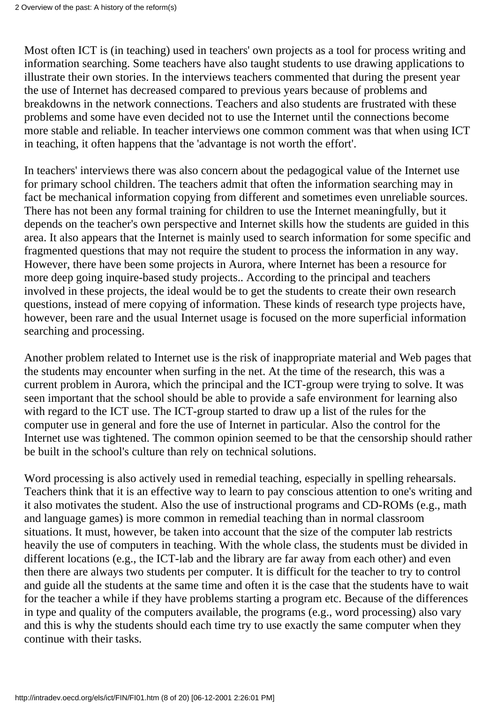Most often ICT is (in teaching) used in teachers' own projects as a tool for process writing and information searching. Some teachers have also taught students to use drawing applications to illustrate their own stories. In the interviews teachers commented that during the present year the use of Internet has decreased compared to previous years because of problems and breakdowns in the network connections. Teachers and also students are frustrated with these problems and some have even decided not to use the Internet until the connections become more stable and reliable. In teacher interviews one common comment was that when using ICT in teaching, it often happens that the 'advantage is not worth the effort'.

In teachers' interviews there was also concern about the pedagogical value of the Internet use for primary school children. The teachers admit that often the information searching may in fact be mechanical information copying from different and sometimes even unreliable sources. There has not been any formal training for children to use the Internet meaningfully, but it depends on the teacher's own perspective and Internet skills how the students are guided in this area. It also appears that the Internet is mainly used to search information for some specific and fragmented questions that may not require the student to process the information in any way. However, there have been some projects in Aurora, where Internet has been a resource for more deep going inquire-based study projects.. According to the principal and teachers involved in these projects, the ideal would be to get the students to create their own research questions, instead of mere copying of information. These kinds of research type projects have, however, been rare and the usual Internet usage is focused on the more superficial information searching and processing.

Another problem related to Internet use is the risk of inappropriate material and Web pages that the students may encounter when surfing in the net. At the time of the research, this was a current problem in Aurora, which the principal and the ICT-group were trying to solve. It was seen important that the school should be able to provide a safe environment for learning also with regard to the ICT use. The ICT-group started to draw up a list of the rules for the computer use in general and fore the use of Internet in particular. Also the control for the Internet use was tightened. The common opinion seemed to be that the censorship should rather be built in the school's culture than rely on technical solutions.

Word processing is also actively used in remedial teaching, especially in spelling rehearsals. Teachers think that it is an effective way to learn to pay conscious attention to one's writing and it also motivates the student. Also the use of instructional programs and CD-ROMs (e.g., math and language games) is more common in remedial teaching than in normal classroom situations. It must, however, be taken into account that the size of the computer lab restricts heavily the use of computers in teaching. With the whole class, the students must be divided in different locations (e.g., the ICT-lab and the library are far away from each other) and even then there are always two students per computer. It is difficult for the teacher to try to control and guide all the students at the same time and often it is the case that the students have to wait for the teacher a while if they have problems starting a program etc. Because of the differences in type and quality of the computers available, the programs (e.g., word processing) also vary and this is why the students should each time try to use exactly the same computer when they continue with their tasks.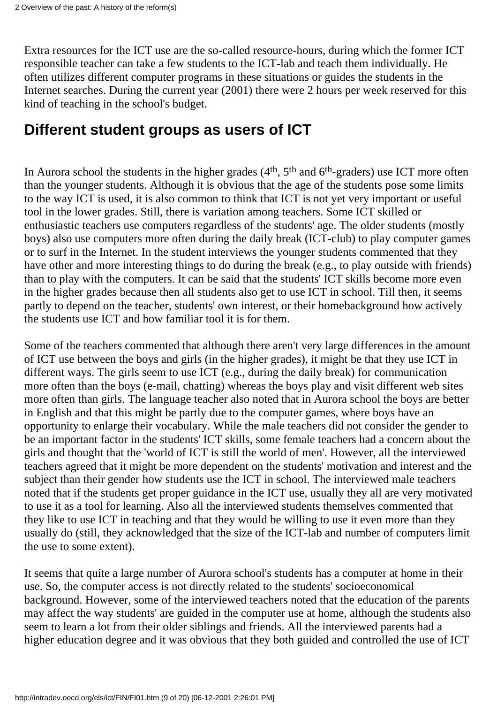Extra resources for the ICT use are the so-called resource-hours, during which the former ICT responsible teacher can take a few students to the ICT-lab and teach them individually. He often utilizes different computer programs in these situations or guides the students in the Internet searches. During the current year (2001) there were 2 hours per week reserved for this kind of teaching in the school's budget.

### **Different student groups as users of ICT**

In Aurora school the students in the higher grades (4<sup>th</sup>, 5<sup>th</sup> and 6<sup>th</sup>-graders) use ICT more often than the younger students. Although it is obvious that the age of the students pose some limits to the way ICT is used, it is also common to think that ICT is not yet very important or useful tool in the lower grades. Still, there is variation among teachers. Some ICT skilled or enthusiastic teachers use computers regardless of the students' age. The older students (mostly boys) also use computers more often during the daily break (ICT-club) to play computer games or to surf in the Internet. In the student interviews the younger students commented that they have other and more interesting things to do during the break (e.g., to play outside with friends) than to play with the computers. It can be said that the students' ICT skills become more even in the higher grades because then all students also get to use ICT in school. Till then, it seems partly to depend on the teacher, students' own interest, or their homebackground how actively the students use ICT and how familiar tool it is for them.

Some of the teachers commented that although there aren't very large differences in the amount of ICT use between the boys and girls (in the higher grades), it might be that they use ICT in different ways. The girls seem to use ICT (e.g., during the daily break) for communication more often than the boys (e-mail, chatting) whereas the boys play and visit different web sites more often than girls. The language teacher also noted that in Aurora school the boys are better in English and that this might be partly due to the computer games, where boys have an opportunity to enlarge their vocabulary. While the male teachers did not consider the gender to be an important factor in the students' ICT skills, some female teachers had a concern about the girls and thought that the 'world of ICT is still the world of men'. However, all the interviewed teachers agreed that it might be more dependent on the students' motivation and interest and the subject than their gender how students use the ICT in school. The interviewed male teachers noted that if the students get proper guidance in the ICT use, usually they all are very motivated to use it as a tool for learning. Also all the interviewed students themselves commented that they like to use ICT in teaching and that they would be willing to use it even more than they usually do (still, they acknowledged that the size of the ICT-lab and number of computers limit the use to some extent).

It seems that quite a large number of Aurora school's students has a computer at home in their use. So, the computer access is not directly related to the students' socioeconomical background. However, some of the interviewed teachers noted that the education of the parents may affect the way students' are guided in the computer use at home, although the students also seem to learn a lot from their older siblings and friends. All the interviewed parents had a higher education degree and it was obvious that they both guided and controlled the use of ICT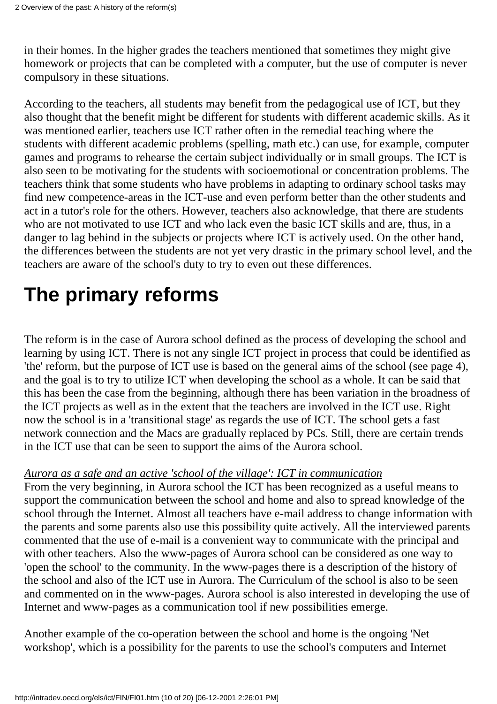in their homes. In the higher grades the teachers mentioned that sometimes they might give homework or projects that can be completed with a computer, but the use of computer is never compulsory in these situations.

According to the teachers, all students may benefit from the pedagogical use of ICT, but they also thought that the benefit might be different for students with different academic skills. As it was mentioned earlier, teachers use ICT rather often in the remedial teaching where the students with different academic problems (spelling, math etc.) can use, for example, computer games and programs to rehearse the certain subject individually or in small groups. The ICT is also seen to be motivating for the students with socioemotional or concentration problems. The teachers think that some students who have problems in adapting to ordinary school tasks may find new competence-areas in the ICT-use and even perform better than the other students and act in a tutor's role for the others. However, teachers also acknowledge, that there are students who are not motivated to use ICT and who lack even the basic ICT skills and are, thus, in a danger to lag behind in the subjects or projects where ICT is actively used. On the other hand, the differences between the students are not yet very drastic in the primary school level, and the teachers are aware of the school's duty to try to even out these differences.

## **The primary reforms**

The reform is in the case of Aurora school defined as the process of developing the school and learning by using ICT. There is not any single ICT project in process that could be identified as 'the' reform, but the purpose of ICT use is based on the general aims of the school (see page 4), and the goal is to try to utilize ICT when developing the school as a whole. It can be said that this has been the case from the beginning, although there has been variation in the broadness of the ICT projects as well as in the extent that the teachers are involved in the ICT use. Right now the school is in a 'transitional stage' as regards the use of ICT. The school gets a fast network connection and the Macs are gradually replaced by PCs. Still, there are certain trends in the ICT use that can be seen to support the aims of the Aurora school.

#### *Aurora as a safe and an active 'school of the village': ICT in communication*

From the very beginning, in Aurora school the ICT has been recognized as a useful means to support the communication between the school and home and also to spread knowledge of the school through the Internet. Almost all teachers have e-mail address to change information with the parents and some parents also use this possibility quite actively. All the interviewed parents commented that the use of e-mail is a convenient way to communicate with the principal and with other teachers. Also the www-pages of Aurora school can be considered as one way to 'open the school' to the community. In the www-pages there is a description of the history of the school and also of the ICT use in Aurora. The Curriculum of the school is also to be seen and commented on in the www-pages. Aurora school is also interested in developing the use of Internet and www-pages as a communication tool if new possibilities emerge.

Another example of the co-operation between the school and home is the ongoing 'Net workshop', which is a possibility for the parents to use the school's computers and Internet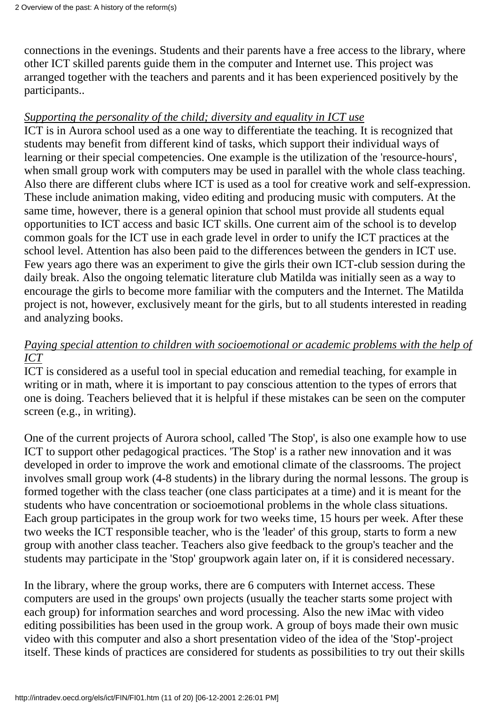connections in the evenings. Students and their parents have a free access to the library, where other ICT skilled parents guide them in the computer and Internet use. This project was arranged together with the teachers and parents and it has been experienced positively by the participants..

#### *Supporting the personality of the child; diversity and equality in ICT use*

ICT is in Aurora school used as a one way to differentiate the teaching. It is recognized that students may benefit from different kind of tasks, which support their individual ways of learning or their special competencies. One example is the utilization of the 'resource-hours', when small group work with computers may be used in parallel with the whole class teaching. Also there are different clubs where ICT is used as a tool for creative work and self-expression. These include animation making, video editing and producing music with computers. At the same time, however, there is a general opinion that school must provide all students equal opportunities to ICT access and basic ICT skills. One current aim of the school is to develop common goals for the ICT use in each grade level in order to unify the ICT practices at the school level. Attention has also been paid to the differences between the genders in ICT use. Few years ago there was an experiment to give the girls their own ICT-club session during the daily break. Also the ongoing telematic literature club Matilda was initially seen as a way to encourage the girls to become more familiar with the computers and the Internet. The Matilda project is not, however, exclusively meant for the girls, but to all students interested in reading and analyzing books.

#### *Paying special attention to children with socioemotional or academic problems with the help of ICT*

ICT is considered as a useful tool in special education and remedial teaching, for example in writing or in math, where it is important to pay conscious attention to the types of errors that one is doing. Teachers believed that it is helpful if these mistakes can be seen on the computer screen (e.g., in writing).

One of the current projects of Aurora school, called 'The Stop', is also one example how to use ICT to support other pedagogical practices. 'The Stop' is a rather new innovation and it was developed in order to improve the work and emotional climate of the classrooms. The project involves small group work (4-8 students) in the library during the normal lessons. The group is formed together with the class teacher (one class participates at a time) and it is meant for the students who have concentration or socioemotional problems in the whole class situations. Each group participates in the group work for two weeks time, 15 hours per week. After these two weeks the ICT responsible teacher, who is the 'leader' of this group, starts to form a new group with another class teacher. Teachers also give feedback to the group's teacher and the students may participate in the 'Stop' groupwork again later on, if it is considered necessary.

In the library, where the group works, there are 6 computers with Internet access. These computers are used in the groups' own projects (usually the teacher starts some project with each group) for information searches and word processing. Also the new iMac with video editing possibilities has been used in the group work. A group of boys made their own music video with this computer and also a short presentation video of the idea of the 'Stop'-project itself. These kinds of practices are considered for students as possibilities to try out their skills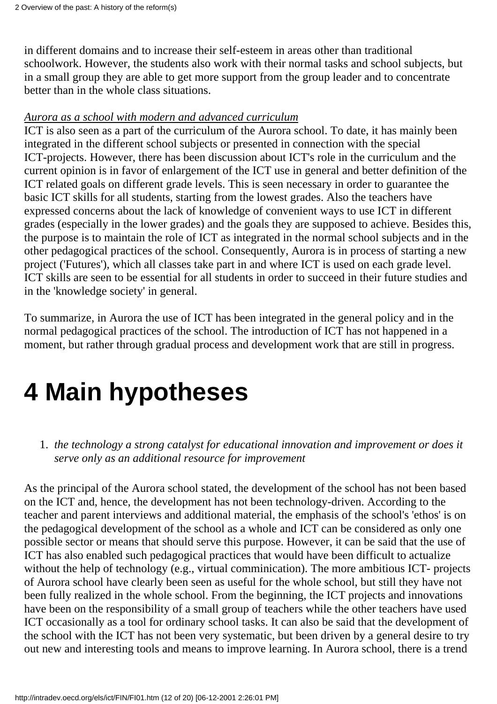in different domains and to increase their self-esteem in areas other than traditional schoolwork. However, the students also work with their normal tasks and school subjects, but in a small group they are able to get more support from the group leader and to concentrate better than in the whole class situations.

#### *Aurora as a school with modern and advanced curriculum*

ICT is also seen as a part of the curriculum of the Aurora school. To date, it has mainly been integrated in the different school subjects or presented in connection with the special ICT-projects. However, there has been discussion about ICT's role in the curriculum and the current opinion is in favor of enlargement of the ICT use in general and better definition of the ICT related goals on different grade levels. This is seen necessary in order to guarantee the basic ICT skills for all students, starting from the lowest grades. Also the teachers have expressed concerns about the lack of knowledge of convenient ways to use ICT in different grades (especially in the lower grades) and the goals they are supposed to achieve. Besides this, the purpose is to maintain the role of ICT as integrated in the normal school subjects and in the other pedagogical practices of the school. Consequently, Aurora is in process of starting a new project ('Futures'), which all classes take part in and where ICT is used on each grade level. ICT skills are seen to be essential for all students in order to succeed in their future studies and in the 'knowledge society' in general.

To summarize, in Aurora the use of ICT has been integrated in the general policy and in the normal pedagogical practices of the school. The introduction of ICT has not happened in a moment, but rather through gradual process and development work that are still in progress.

# **4 Main hypotheses**

*the technology a strong catalyst for educational innovation and improvement or does it* 1. *serve only as an additional resource for improvement*

As the principal of the Aurora school stated, the development of the school has not been based on the ICT and, hence, the development has not been technology-driven. According to the teacher and parent interviews and additional material, the emphasis of the school's 'ethos' is on the pedagogical development of the school as a whole and ICT can be considered as only one possible sector or means that should serve this purpose. However, it can be said that the use of ICT has also enabled such pedagogical practices that would have been difficult to actualize without the help of technology (e.g., virtual comminication). The more ambitious ICT- projects of Aurora school have clearly been seen as useful for the whole school, but still they have not been fully realized in the whole school. From the beginning, the ICT projects and innovations have been on the responsibility of a small group of teachers while the other teachers have used ICT occasionally as a tool for ordinary school tasks. It can also be said that the development of the school with the ICT has not been very systematic, but been driven by a general desire to try out new and interesting tools and means to improve learning. In Aurora school, there is a trend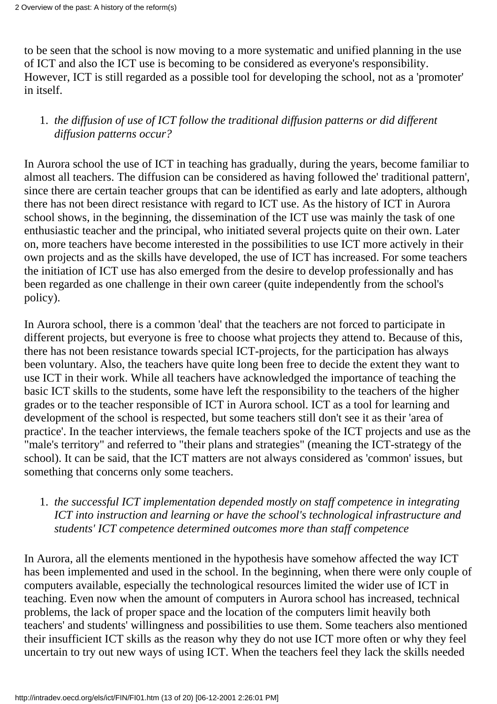to be seen that the school is now moving to a more systematic and unified planning in the use of ICT and also the ICT use is becoming to be considered as everyone's responsibility. However, ICT is still regarded as a possible tool for developing the school, not as a 'promoter' in itself.

#### *the diffusion of use of ICT follow the traditional diffusion patterns or did different* 1. *diffusion patterns occur?*

In Aurora school the use of ICT in teaching has gradually, during the years, become familiar to almost all teachers. The diffusion can be considered as having followed the' traditional pattern', since there are certain teacher groups that can be identified as early and late adopters, although there has not been direct resistance with regard to ICT use. As the history of ICT in Aurora school shows, in the beginning, the dissemination of the ICT use was mainly the task of one enthusiastic teacher and the principal, who initiated several projects quite on their own. Later on, more teachers have become interested in the possibilities to use ICT more actively in their own projects and as the skills have developed, the use of ICT has increased. For some teachers the initiation of ICT use has also emerged from the desire to develop professionally and has been regarded as one challenge in their own career (quite independently from the school's policy).

In Aurora school, there is a common 'deal' that the teachers are not forced to participate in different projects, but everyone is free to choose what projects they attend to. Because of this, there has not been resistance towards special ICT-projects, for the participation has always been voluntary. Also, the teachers have quite long been free to decide the extent they want to use ICT in their work. While all teachers have acknowledged the importance of teaching the basic ICT skills to the students, some have left the responsibility to the teachers of the higher grades or to the teacher responsible of ICT in Aurora school. ICT as a tool for learning and development of the school is respected, but some teachers still don't see it as their 'area of practice'. In the teacher interviews, the female teachers spoke of the ICT projects and use as the "male's territory" and referred to "their plans and strategies" (meaning the ICT-strategy of the school). It can be said, that the ICT matters are not always considered as 'common' issues, but something that concerns only some teachers.

#### *the successful ICT implementation depended mostly on staff competence in integrating* 1. *ICT into instruction and learning or have the school's technological infrastructure and students' ICT competence determined outcomes more than staff competence*

In Aurora, all the elements mentioned in the hypothesis have somehow affected the way ICT has been implemented and used in the school. In the beginning, when there were only couple of computers available, especially the technological resources limited the wider use of ICT in teaching. Even now when the amount of computers in Aurora school has increased, technical problems, the lack of proper space and the location of the computers limit heavily both teachers' and students' willingness and possibilities to use them. Some teachers also mentioned their insufficient ICT skills as the reason why they do not use ICT more often or why they feel uncertain to try out new ways of using ICT. When the teachers feel they lack the skills needed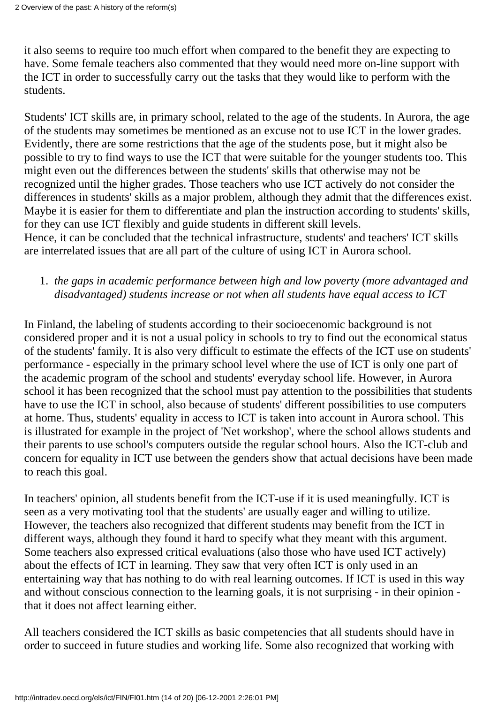it also seems to require too much effort when compared to the benefit they are expecting to have. Some female teachers also commented that they would need more on-line support with the ICT in order to successfully carry out the tasks that they would like to perform with the students.

Students' ICT skills are, in primary school, related to the age of the students. In Aurora, the age of the students may sometimes be mentioned as an excuse not to use ICT in the lower grades. Evidently, there are some restrictions that the age of the students pose, but it might also be possible to try to find ways to use the ICT that were suitable for the younger students too. This might even out the differences between the students' skills that otherwise may not be recognized until the higher grades. Those teachers who use ICT actively do not consider the differences in students' skills as a major problem, although they admit that the differences exist. Maybe it is easier for them to differentiate and plan the instruction according to students' skills, for they can use ICT flexibly and guide students in different skill levels. Hence, it can be concluded that the technical infrastructure, students' and teachers' ICT skills are interrelated issues that are all part of the culture of using ICT in Aurora school.

#### *the gaps in academic performance between high and low poverty (more advantaged and* 1. *disadvantaged) students increase or not when all students have equal access to ICT*

In Finland, the labeling of students according to their socioecenomic background is not considered proper and it is not a usual policy in schools to try to find out the economical status of the students' family. It is also very difficult to estimate the effects of the ICT use on students' performance - especially in the primary school level where the use of ICT is only one part of the academic program of the school and students' everyday school life. However, in Aurora school it has been recognized that the school must pay attention to the possibilities that students have to use the ICT in school, also because of students' different possibilities to use computers at home. Thus, students' equality in access to ICT is taken into account in Aurora school. This is illustrated for example in the project of 'Net workshop', where the school allows students and their parents to use school's computers outside the regular school hours. Also the ICT-club and concern for equality in ICT use between the genders show that actual decisions have been made to reach this goal.

In teachers' opinion, all students benefit from the ICT-use if it is used meaningfully. ICT is seen as a very motivating tool that the students' are usually eager and willing to utilize. However, the teachers also recognized that different students may benefit from the ICT in different ways, although they found it hard to specify what they meant with this argument. Some teachers also expressed critical evaluations (also those who have used ICT actively) about the effects of ICT in learning. They saw that very often ICT is only used in an entertaining way that has nothing to do with real learning outcomes. If ICT is used in this way and without conscious connection to the learning goals, it is not surprising - in their opinion that it does not affect learning either.

All teachers considered the ICT skills as basic competencies that all students should have in order to succeed in future studies and working life. Some also recognized that working with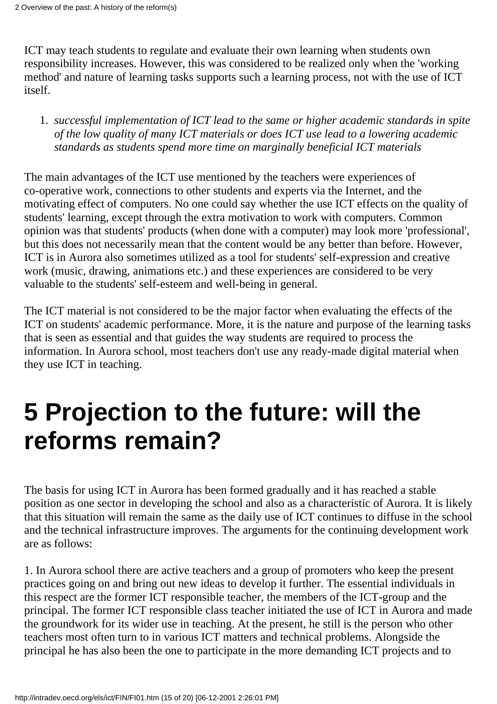ICT may teach students to regulate and evaluate their own learning when students own responsibility increases. However, this was considered to be realized only when the 'working method' and nature of learning tasks supports such a learning process, not with the use of ICT itself.

*successful implementation of ICT lead to the same or higher academic standards in spite* 1. *of the low quality of many ICT materials or does ICT use lead to a lowering academic standards as students spend more time on marginally beneficial ICT materials*

The main advantages of the ICT use mentioned by the teachers were experiences of co-operative work, connections to other students and experts via the Internet, and the motivating effect of computers. No one could say whether the use ICT effects on the quality of students' learning, except through the extra motivation to work with computers. Common opinion was that students' products (when done with a computer) may look more 'professional', but this does not necessarily mean that the content would be any better than before. However, ICT is in Aurora also sometimes utilized as a tool for students' self-expression and creative work (music, drawing, animations etc.) and these experiences are considered to be very valuable to the students' self-esteem and well-being in general.

The ICT material is not considered to be the major factor when evaluating the effects of the ICT on students' academic performance. More, it is the nature and purpose of the learning tasks that is seen as essential and that guides the way students are required to process the information. In Aurora school, most teachers don't use any ready-made digital material when they use ICT in teaching.

# **5 Projection to the future: will the reforms remain?**

The basis for using ICT in Aurora has been formed gradually and it has reached a stable position as one sector in developing the school and also as a characteristic of Aurora. It is likely that this situation will remain the same as the daily use of ICT continues to diffuse in the school and the technical infrastructure improves. The arguments for the continuing development work are as follows:

1. In Aurora school there are active teachers and a group of promoters who keep the present practices going on and bring out new ideas to develop it further. The essential individuals in this respect are the former ICT responsible teacher, the members of the ICT-group and the principal. The former ICT responsible class teacher initiated the use of ICT in Aurora and made the groundwork for its wider use in teaching. At the present, he still is the person who other teachers most often turn to in various ICT matters and technical problems. Alongside the principal he has also been the one to participate in the more demanding ICT projects and to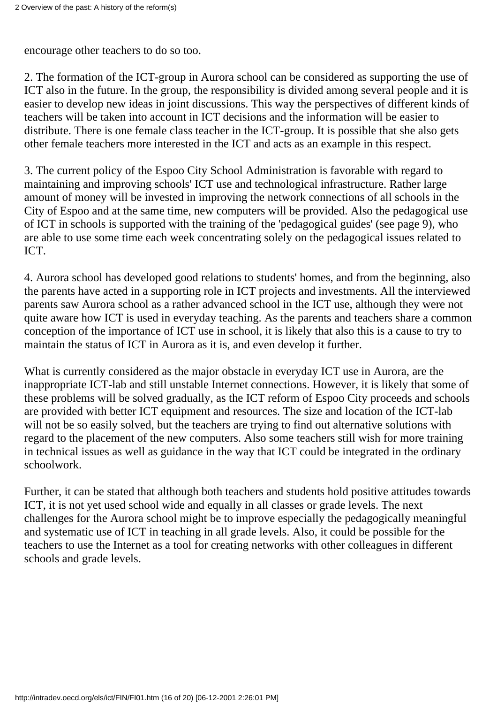encourage other teachers to do so too.

2. The formation of the ICT-group in Aurora school can be considered as supporting the use of ICT also in the future. In the group, the responsibility is divided among several people and it is easier to develop new ideas in joint discussions. This way the perspectives of different kinds of teachers will be taken into account in ICT decisions and the information will be easier to distribute. There is one female class teacher in the ICT-group. It is possible that she also gets other female teachers more interested in the ICT and acts as an example in this respect.

3. The current policy of the Espoo City School Administration is favorable with regard to maintaining and improving schools' ICT use and technological infrastructure. Rather large amount of money will be invested in improving the network connections of all schools in the City of Espoo and at the same time, new computers will be provided. Also the pedagogical use of ICT in schools is supported with the training of the 'pedagogical guides' (see page 9), who are able to use some time each week concentrating solely on the pedagogical issues related to ICT.

4. Aurora school has developed good relations to students' homes, and from the beginning, also the parents have acted in a supporting role in ICT projects and investments. All the interviewed parents saw Aurora school as a rather advanced school in the ICT use, although they were not quite aware how ICT is used in everyday teaching. As the parents and teachers share a common conception of the importance of ICT use in school, it is likely that also this is a cause to try to maintain the status of ICT in Aurora as it is, and even develop it further.

What is currently considered as the major obstacle in everyday ICT use in Aurora, are the inappropriate ICT-lab and still unstable Internet connections. However, it is likely that some of these problems will be solved gradually, as the ICT reform of Espoo City proceeds and schools are provided with better ICT equipment and resources. The size and location of the ICT-lab will not be so easily solved, but the teachers are trying to find out alternative solutions with regard to the placement of the new computers. Also some teachers still wish for more training in technical issues as well as guidance in the way that ICT could be integrated in the ordinary schoolwork.

Further, it can be stated that although both teachers and students hold positive attitudes towards ICT, it is not yet used school wide and equally in all classes or grade levels. The next challenges for the Aurora school might be to improve especially the pedagogically meaningful and systematic use of ICT in teaching in all grade levels. Also, it could be possible for the teachers to use the Internet as a tool for creating networks with other colleagues in different schools and grade levels.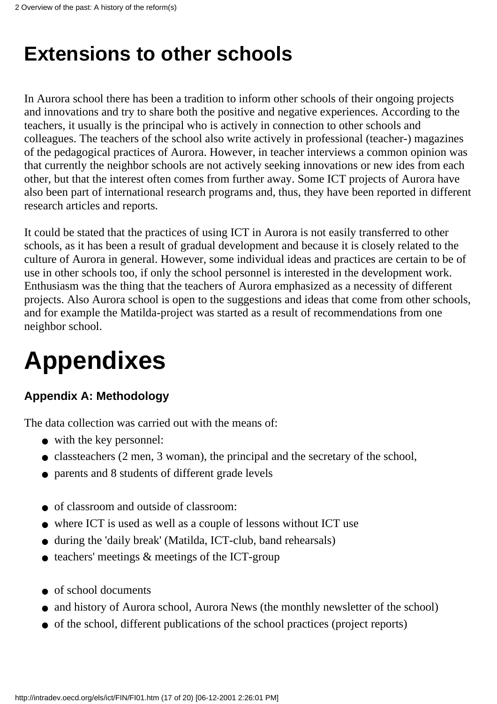## **Extensions to other schools**

In Aurora school there has been a tradition to inform other schools of their ongoing projects and innovations and try to share both the positive and negative experiences. According to the teachers, it usually is the principal who is actively in connection to other schools and colleagues. The teachers of the school also write actively in professional (teacher-) magazines of the pedagogical practices of Aurora. However, in teacher interviews a common opinion was that currently the neighbor schools are not actively seeking innovations or new ides from each other, but that the interest often comes from further away. Some ICT projects of Aurora have also been part of international research programs and, thus, they have been reported in different research articles and reports.

It could be stated that the practices of using ICT in Aurora is not easily transferred to other schools, as it has been a result of gradual development and because it is closely related to the culture of Aurora in general. However, some individual ideas and practices are certain to be of use in other schools too, if only the school personnel is interested in the development work. Enthusiasm was the thing that the teachers of Aurora emphasized as a necessity of different projects. Also Aurora school is open to the suggestions and ideas that come from other schools, and for example the Matilda-project was started as a result of recommendations from one neighbor school.

# **Appendixes**

#### **Appendix A: Methodology**

The data collection was carried out with the means of:

- with the key personnel:
- classteachers (2 men, 3 woman), the principal and the secretary of the school,
- parents and 8 students of different grade levels
- of classroom and outside of classroom:
- where ICT is used as well as a couple of lessons without ICT use
- during the 'daily break' (Matilda, ICT-club, band rehearsals)
- $\bullet$  teachers' meetings  $\&$  meetings of the ICT-group
- of school documents
- and history of Aurora school, Aurora News (the monthly newsletter of the school)
- of the school, different publications of the school practices (project reports)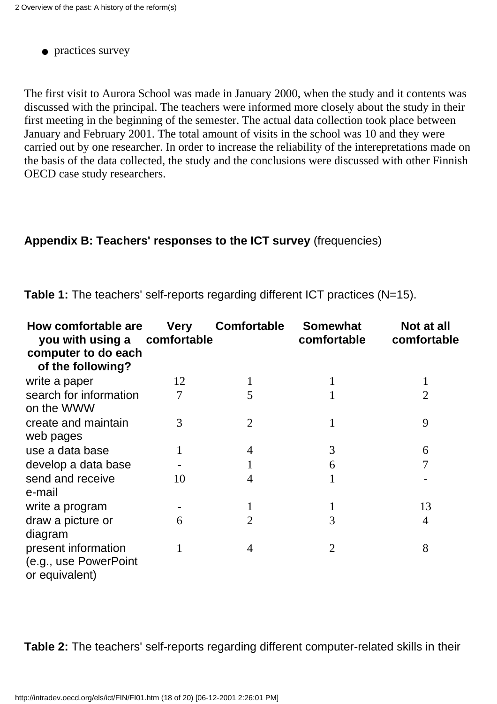• practices survey

The first visit to Aurora School was made in January 2000, when the study and it contents was discussed with the principal. The teachers were informed more closely about the study in their first meeting in the beginning of the semester. The actual data collection took place between January and February 2001. The total amount of visits in the school was 10 and they were carried out by one researcher. In order to increase the reliability of the interepretations made on the basis of the data collected, the study and the conclusions were discussed with other Finnish OECD case study researchers.

#### **Appendix B: Teachers' responses to the ICT survey** (frequencies)

**Table 1:** The teachers' self-reports regarding different ICT practices (N=15).

| How comfortable are<br>you with using a comfortable<br>computer to do each<br>of the following? | <b>Very</b> | <b>Comfortable</b> | <b>Somewhat</b><br>comfortable | Not at all<br>comfortable |
|-------------------------------------------------------------------------------------------------|-------------|--------------------|--------------------------------|---------------------------|
| write a paper                                                                                   | 12          |                    | 1                              | 1                         |
| search for information<br>on the WWW                                                            | 7           | 5                  |                                | $\overline{2}$            |
| create and maintain<br>web pages                                                                | 3           | $\overline{2}$     |                                | 9                         |
| use a data base                                                                                 | 1           | 4                  | 3                              | 6                         |
| develop a data base                                                                             |             |                    | 6                              | 7                         |
| send and receive<br>e-mail                                                                      | 10          | $\overline{4}$     |                                |                           |
| write a program                                                                                 |             |                    | 1                              | 13                        |
| draw a picture or<br>diagram                                                                    | 6           | $\overline{2}$     | 3                              | 4                         |
| present information<br>(e.g., use PowerPoint<br>or equivalent)                                  | 1           | 4                  | $\overline{2}$                 | 8                         |

**Table 2:** The teachers' self-reports regarding different computer-related skills in their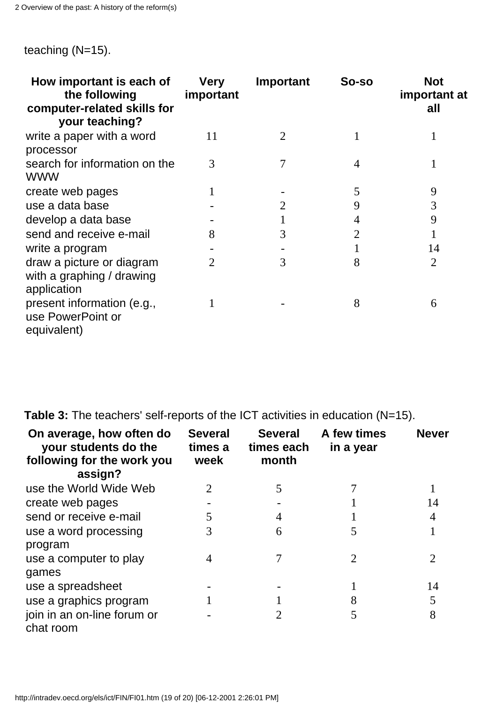teaching (N=15).

| How important is each of<br>the following<br>computer-related skills for<br>your teaching? | <b>Very</b><br>important | Important      | So-so | <b>Not</b><br>important at<br>all |
|--------------------------------------------------------------------------------------------|--------------------------|----------------|-------|-----------------------------------|
| write a paper with a word<br>processor                                                     | 11                       | $\overline{2}$ |       |                                   |
| search for information on the<br>WWW                                                       | 3                        | 7              | 4     |                                   |
| create web pages                                                                           |                          |                | 5     | 9                                 |
| use a data base                                                                            |                          | 2              | 9     | 3                                 |
| develop a data base                                                                        |                          |                | 4     | 9                                 |
| send and receive e-mail                                                                    | 8                        | 3              | 2     |                                   |
| write a program                                                                            |                          |                |       | 14                                |
| draw a picture or diagram<br>with a graphing / drawing<br>application                      | 2                        | 3              | 8     | $\overline{2}$                    |
| present information (e.g.,<br>use PowerPoint or<br>equivalent)                             |                          |                | 8     | 6                                 |

**Table 3:** The teachers' self-reports of the ICT activities in education (N=15).

| On average, how often do<br>your students do the<br>following for the work you<br>assign? | <b>Several</b><br>times a<br>week | <b>Several</b><br>times each<br>month | A few times<br>in a year | <b>Never</b> |
|-------------------------------------------------------------------------------------------|-----------------------------------|---------------------------------------|--------------------------|--------------|
| use the World Wide Web                                                                    | 2                                 | 5                                     |                          |              |
| create web pages                                                                          |                                   |                                       |                          | 14           |
| send or receive e-mail                                                                    | 5                                 | 4                                     |                          | 4            |
| use a word processing                                                                     | 3                                 | 6                                     | 5                        |              |
| program                                                                                   |                                   |                                       |                          |              |
| use a computer to play                                                                    | 4                                 |                                       |                          |              |
| games                                                                                     |                                   |                                       |                          |              |
| use a spreadsheet                                                                         |                                   |                                       |                          | 14           |
| use a graphics program                                                                    |                                   |                                       | 8                        | 5            |
| join in an on-line forum or<br>chat room                                                  |                                   |                                       | 5                        | 8            |